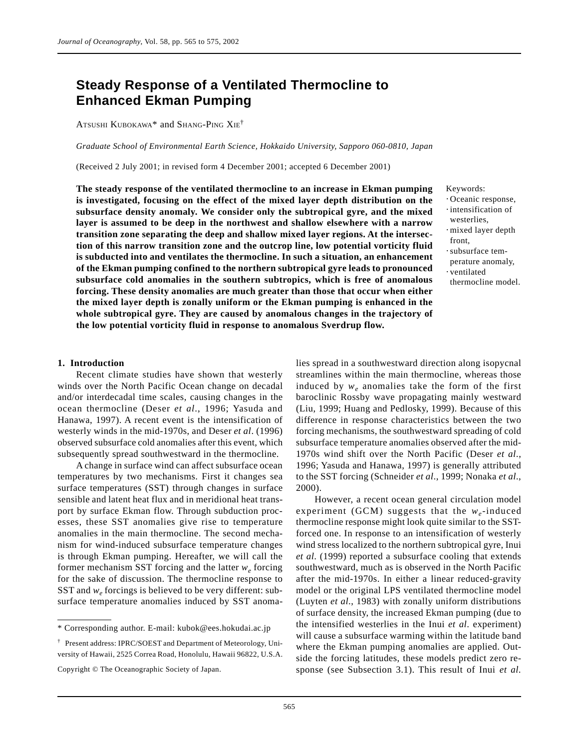# **Steady Response of a Ventilated Thermocline to Enhanced Ekman Pumping**

ATSUSHI KUBOKAWA\* and SHANG-PING XIE†

*Graduate School of Environmental Earth Science, Hokkaido University, Sapporo 060-0810, Japan*

(Received 2 July 2001; in revised form 4 December 2001; accepted 6 December 2001)

**The steady response of the ventilated thermocline to an increase in Ekman pumping is investigated, focusing on the effect of the mixed layer depth distribution on the subsurface density anomaly. We consider only the subtropical gyre, and the mixed layer is assumed to be deep in the northwest and shallow elsewhere with a narrow transition zone separating the deep and shallow mixed layer regions. At the intersection of this narrow transition zone and the outcrop line, low potential vorticity fluid is subducted into and ventilates the thermocline. In such a situation, an enhancement of the Ekman pumping confined to the northern subtropical gyre leads to pronounced subsurface cold anomalies in the southern subtropics, which is free of anomalous forcing. These density anomalies are much greater than those that occur when either the mixed layer depth is zonally uniform or the Ekman pumping is enhanced in the whole subtropical gyre. They are caused by anomalous changes in the trajectory of the low potential vorticity fluid in response to anomalous Sverdrup flow.**

- Keywords:
- ⋅ Oceanic response,
- ⋅ intensification of
- westerlies,
- ⋅ mixed layer depth front,
- ⋅ subsurface tem-
- perature anomaly,
- ⋅ ventilated
- thermocline model.

## **1. Introduction**

Recent climate studies have shown that westerly winds over the North Pacific Ocean change on decadal and/or interdecadal time scales, causing changes in the ocean thermocline (Deser *et al*., 1996; Yasuda and Hanawa, 1997). A recent event is the intensification of westerly winds in the mid-1970s, and Deser *et al*. (1996) observed subsurface cold anomalies after this event, which subsequently spread southwestward in the thermocline.

A change in surface wind can affect subsurface ocean temperatures by two mechanisms. First it changes sea surface temperatures (SST) through changes in surface sensible and latent heat flux and in meridional heat transport by surface Ekman flow. Through subduction processes, these SST anomalies give rise to temperature anomalies in the main thermocline. The second mechanism for wind-induced subsurface temperature changes is through Ekman pumping. Hereafter, we will call the former mechanism SST forcing and the latter *we* forcing for the sake of discussion. The thermocline response to SST and  $w_e$  forcings is believed to be very different: subsurface temperature anomalies induced by SST anomalies spread in a southwestward direction along isopycnal streamlines within the main thermocline, whereas those induced by  $w_e$  anomalies take the form of the first baroclinic Rossby wave propagating mainly westward (Liu, 1999; Huang and Pedlosky, 1999). Because of this difference in response characteristics between the two forcing mechanisms, the southwestward spreading of cold subsurface temperature anomalies observed after the mid-1970s wind shift over the North Pacific (Deser *et al*., 1996; Yasuda and Hanawa, 1997) is generally attributed to the SST forcing (Schneider *et al*., 1999; Nonaka *et al*., 2000).

However, a recent ocean general circulation model experiment (GCM) suggests that the *w<sub>e</sub>*-induced thermocline response might look quite similar to the SSTforced one. In response to an intensification of westerly wind stress localized to the northern subtropical gyre, Inui *et al*. (1999) reported a subsurface cooling that extends southwestward, much as is observed in the North Pacific after the mid-1970s. In either a linear reduced-gravity model or the original LPS ventilated thermocline model (Luyten *et al*., 1983) with zonally uniform distributions of surface density, the increased Ekman pumping (due to the intensified westerlies in the Inui *et al*. experiment) will cause a subsurface warming within the latitude band where the Ekman pumping anomalies are applied. Outside the forcing latitudes, these models predict zero response (see Subsection 3.1). This result of Inui *et al*.

<sup>\*</sup> Corresponding author. E-mail: kubok@ees.hokudai.ac.jp

<sup>†</sup> Present address: IPRC/SOEST and Department of Meteorology, University of Hawaii, 2525 Correa Road, Honolulu, Hawaii 96822, U.S.A.

Copyright © The Oceanographic Society of Japan.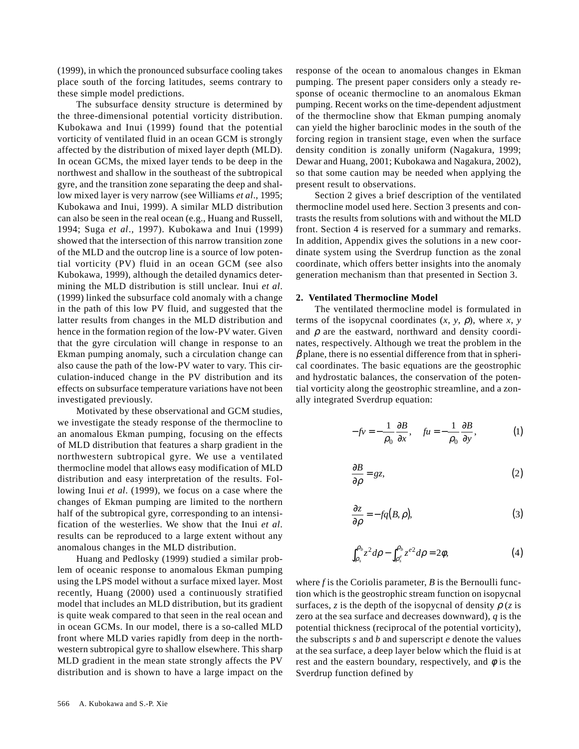(1999), in which the pronounced subsurface cooling takes place south of the forcing latitudes, seems contrary to these simple model predictions.

The subsurface density structure is determined by the three-dimensional potential vorticity distribution. Kubokawa and Inui (1999) found that the potential vorticity of ventilated fluid in an ocean GCM is strongly affected by the distribution of mixed layer depth (MLD). In ocean GCMs, the mixed layer tends to be deep in the northwest and shallow in the southeast of the subtropical gyre, and the transition zone separating the deep and shallow mixed layer is very narrow (see Williams *et al*., 1995; Kubokawa and Inui, 1999). A similar MLD distribution can also be seen in the real ocean (e.g., Huang and Russell, 1994; Suga *et al*., 1997). Kubokawa and Inui (1999) showed that the intersection of this narrow transition zone of the MLD and the outcrop line is a source of low potential vorticity (PV) fluid in an ocean GCM (see also Kubokawa, 1999), although the detailed dynamics determining the MLD distribution is still unclear. Inui *et al*. (1999) linked the subsurface cold anomaly with a change in the path of this low PV fluid, and suggested that the latter results from changes in the MLD distribution and hence in the formation region of the low-PV water. Given that the gyre circulation will change in response to an Ekman pumping anomaly, such a circulation change can also cause the path of the low-PV water to vary. This circulation-induced change in the PV distribution and its effects on subsurface temperature variations have not been investigated previously.

Motivated by these observational and GCM studies, we investigate the steady response of the thermocline to an anomalous Ekman pumping, focusing on the effects of MLD distribution that features a sharp gradient in the northwestern subtropical gyre. We use a ventilated thermocline model that allows easy modification of MLD distribution and easy interpretation of the results. Following Inui *et al*. (1999), we focus on a case where the changes of Ekman pumping are limited to the northern half of the subtropical gyre, corresponding to an intensification of the westerlies. We show that the Inui *et al*. results can be reproduced to a large extent without any anomalous changes in the MLD distribution.

Huang and Pedlosky (1999) studied a similar problem of oceanic response to anomalous Ekman pumping using the LPS model without a surface mixed layer. Most recently, Huang (2000) used a continuously stratified model that includes an MLD distribution, but its gradient is quite weak compared to that seen in the real ocean and in ocean GCMs. In our model, there is a so-called MLD front where MLD varies rapidly from deep in the northwestern subtropical gyre to shallow elsewhere. This sharp MLD gradient in the mean state strongly affects the PV distribution and is shown to have a large impact on the response of the ocean to anomalous changes in Ekman pumping. The present paper considers only a steady response of oceanic thermocline to an anomalous Ekman pumping. Recent works on the time-dependent adjustment of the thermocline show that Ekman pumping anomaly can yield the higher baroclinic modes in the south of the forcing region in transient stage, even when the surface density condition is zonally uniform (Nagakura, 1999; Dewar and Huang, 2001; Kubokawa and Nagakura, 2002), so that some caution may be needed when applying the present result to observations.

Section 2 gives a brief description of the ventilated thermocline model used here. Section 3 presents and contrasts the results from solutions with and without the MLD front. Section 4 is reserved for a summary and remarks. In addition, Appendix gives the solutions in a new coordinate system using the Sverdrup function as the zonal coordinate, which offers better insights into the anomaly generation mechanism than that presented in Section 3.

## **2. Ventilated Thermocline Model**

The ventilated thermocline model is formulated in terms of the isopycnal coordinates  $(x, y, \rho)$ , where  $x, y$ and  $\rho$  are the eastward, northward and density coordinates, respectively. Although we treat the problem in the  $\beta$  plane, there is no essential difference from that in spherical coordinates. The basic equations are the geostrophic and hydrostatic balances, the conservation of the potential vorticity along the geostrophic streamline, and a zonally integrated Sverdrup equation:

$$
-fv = -\frac{1}{\rho_0} \frac{\partial B}{\partial x}, \quad fu = -\frac{1}{\rho_0} \frac{\partial B}{\partial y}, \tag{1}
$$

$$
\frac{\partial B}{\partial \rho} = gz,\tag{2}
$$

$$
\frac{\partial z}{\partial \rho} = -f q(B, \rho),\tag{3}
$$

$$
\int_{\rho_s}^{\rho_b} z^2 d\rho - \int_{\rho_s}^{\rho_b} z^{e^2} d\rho = 2\phi, \tag{4}
$$

where *f* is the Coriolis parameter, *B* is the Bernoulli function which is the geostrophic stream function on isopycnal surfaces, *z* is the depth of the isopycnal of density  $\rho$  (*z* is zero at the sea surface and decreases downward), *q* is the potential thickness (reciprocal of the potential vorticity), the subscripts *s* and *b* and superscript *e* denote the values at the sea surface, a deep layer below which the fluid is at rest and the eastern boundary, respectively, and  $\phi$  is the Sverdrup function defined by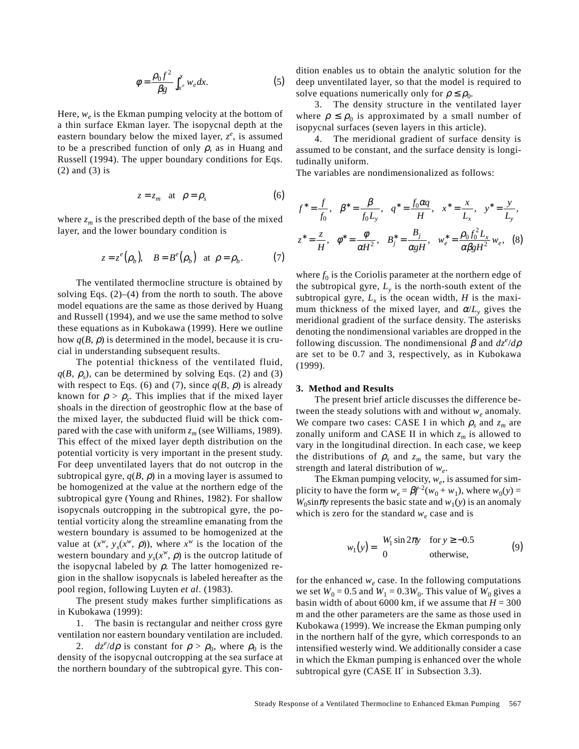$$
\phi = \frac{\rho_0 f^2}{\beta g} \int_{x^e}^x w_e dx.
$$
 (5)

Here,  $w_e$  is the Ekman pumping velocity at the bottom of a thin surface Ekman layer. The isopycnal depth at the eastern boundary below the mixed layer, *z<sup>e</sup>* , is assumed to be a prescribed function of only  $\rho$ , as in Huang and Russell (1994). The upper boundary conditions for Eqs. (2) and (3) is

$$
z = z_m \quad \text{at} \quad \rho = \rho_s \tag{6}
$$

where  $z_m$  is the prescribed depth of the base of the mixed layer, and the lower boundary condition is

$$
z = z^{e}(\rho_b), \quad B = B^{e}(\rho_b)
$$
 at  $\rho = \rho_b.$  (7)

The ventilated thermocline structure is obtained by solving Eqs.  $(2)$ – $(4)$  from the north to south. The above model equations are the same as those derived by Huang and Russell (1994), and we use the same method to solve these equations as in Kubokawa (1999). Here we outline how  $q(B, \rho)$  is determined in the model, because it is crucial in understanding subsequent results.

The potential thickness of the ventilated fluid,  $q(B, \rho_s)$ , can be determined by solving Eqs. (2) and (3) with respect to Eqs. (6) and (7), since  $q(B, \rho)$  is already known for  $\rho > \rho_{s}$ . This implies that if the mixed layer shoals in the direction of geostrophic flow at the base of the mixed layer, the subducted fluid will be thick compared with the case with uniform  $z_m$  (see Williams, 1989). This effect of the mixed layer depth distribution on the potential vorticity is very important in the present study. For deep unventilated layers that do not outcrop in the subtropical gyre,  $q(B, \rho)$  in a moving layer is assumed to be homogenized at the value at the northern edge of the subtropical gyre (Young and Rhines, 1982). For shallow isopycnals outcropping in the subtropical gyre, the potential vorticity along the streamline emanating from the western boundary is assumed to be homogenized at the value at  $(x^w, y_s(x^w, \rho))$ , where  $x^w$  is the location of the western boundary and  $y_s(x^w, \rho)$  is the outcrop latitude of the isopycnal labeled by  $\rho$ . The latter homogenized region in the shallow isopycnals is labeled hereafter as the pool region, following Luyten *et al*. (1983).

The present study makes further simplifications as in Kubokawa (1999):

1. The basin is rectangular and neither cross gyre ventilation nor eastern boundary ventilation are included.

2.  $dz^e/d\rho$  is constant for  $\rho > \rho_0$ , where  $\rho_0$  is the density of the isopycnal outcropping at the sea surface at the northern boundary of the subtropical gyre. This condition enables us to obtain the analytic solution for the deep unventilated layer, so that the model is required to solve equations numerically only for  $\rho \leq \rho_0$ .

3. The density structure in the ventilated layer where  $\rho \leq \rho_0$  is approximated by a small number of isopycnal surfaces (seven layers in this article).

4. The meridional gradient of surface density is assumed to be constant, and the surface density is longitudinally uniform.

The variables are nondimensionalized as follows:

$$
f^* = \frac{f}{f_0}, \quad \beta^* = \frac{\beta}{f_0 L_y}, \quad q^* = \frac{f_0 \alpha q}{H}, \quad x^* = \frac{x}{L_x}, \quad y^* = \frac{y}{L_y},
$$
  

$$
z^* = \frac{z}{H}, \quad \phi^* = \frac{\phi}{\alpha H^2}, \quad B^*_j = \frac{B_j}{\alpha g H}, \quad w^*_e = \frac{\rho_0 f_0^2 L_x}{\alpha \beta g H^2} w_e, \quad (8)
$$

where  $f_0$  is the Coriolis parameter at the northern edge of the subtropical gyre,  $L<sub>v</sub>$  is the north-south extent of the subtropical gyre,  $L<sub>x</sub>$  is the ocean width, *H* is the maximum thickness of the mixed layer, and  $\alpha/L_v$  gives the meridional gradient of the surface density. The asterisks denoting the nondimensional variables are dropped in the following discussion. The nondimensional  $\beta$  and  $dz^e/d\rho$ are set to be 0.7 and 3, respectively, as in Kubokawa (1999).

## **3. Method and Results**

The present brief article discusses the difference between the steady solutions with and without *w<sub>e</sub>* anomaly. We compare two cases: CASE I in which  $\rho_s$  and  $z_m$  are zonally uniform and CASE II in which  $z_m$  is allowed to vary in the longitudinal direction. In each case, we keep the distributions of  $\rho_s$  and  $z_m$  the same, but vary the strength and lateral distribution of *we*.

The Ekman pumping velocity,  $w_e$ , is assumed for simplicity to have the form  $w_e = \beta f^{-2}(w_0 + w_1)$ , where  $w_0(y) =$  $W_0 \sin \pi y$  represents the basic state and  $w_1(y)$  is an anomaly which is zero for the standard  $w_e$  case and is

$$
w_1(y) = \begin{cases} W_1 \sin 2\pi y & \text{for } y \ge -0.5\\ 0 & \text{otherwise,} \end{cases}
$$
 (9)

for the enhanced  $w_e$  case. In the following computations we set  $W_0 = 0.5$  and  $W_1 = 0.3W_0$ . This value of  $W_0$  gives a basin width of about 6000 km, if we assume that  $H = 300$ m and the other parameters are the same as those used in Kubokawa (1999). We increase the Ekman pumping only in the northern half of the gyre, which corresponds to an intensified westerly wind. We additionally consider a case in which the Ekman pumping is enhanced over the whole subtropical gyre (CASE II′ in Subsection 3.3).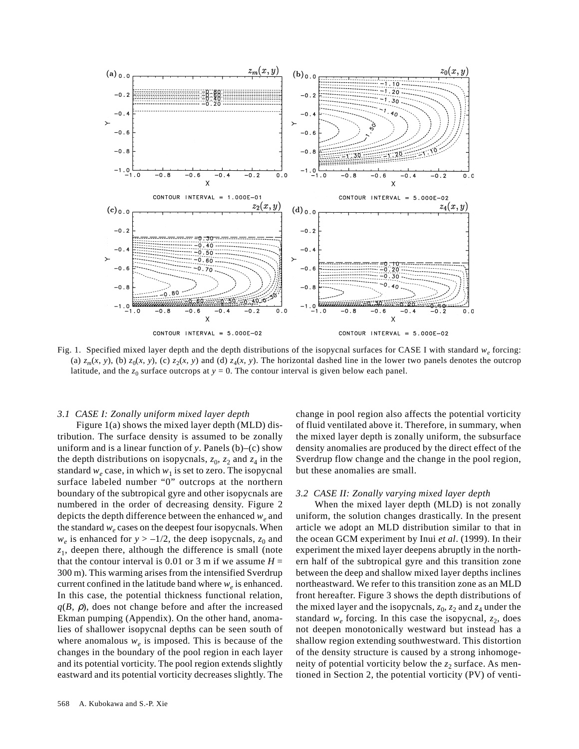

Fig. 1. Specified mixed layer depth and the depth distributions of the isopycnal surfaces for CASE I with standard  $w_e$  forcing: (a)  $z_m(x, y)$ , (b)  $z_0(x, y)$ , (c)  $z_2(x, y)$  and (d)  $z_4(x, y)$ . The horizontal dashed line in the lower two panels denotes the outcrop latitude, and the  $z_0$  surface outcrops at  $y = 0$ . The contour interval is given below each panel.

## *3.1 CASE I: Zonally uniform mixed layer depth*

Figure 1(a) shows the mixed layer depth (MLD) distribution. The surface density is assumed to be zonally uniform and is a linear function of *y*. Panels (b)–(c) show the depth distributions on isopycnals,  $z_0$ ,  $z_2$  and  $z_4$  in the standard  $w_e$  case, in which  $w_1$  is set to zero. The isopycnal surface labeled number "0" outcrops at the northern boundary of the subtropical gyre and other isopycnals are numbered in the order of decreasing density. Figure 2 depicts the depth difference between the enhanced *w<sub>e</sub>* and the standard  $w_e$  cases on the deepest four isopycnals. When  $w_e$  is enhanced for  $y > -1/2$ , the deep isopycnals,  $z_0$  and *z*1, deepen there, although the difference is small (note that the contour interval is 0.01 or 3 m if we assume  $H =$ 300 m). This warming arises from the intensified Sverdrup current confined in the latitude band where  $w_e$  is enhanced. In this case, the potential thickness functional relation,  $q(B, \rho)$ , does not change before and after the increased Ekman pumping (Appendix). On the other hand, anomalies of shallower isopycnal depths can be seen south of where anomalous  $w_e$  is imposed. This is because of the changes in the boundary of the pool region in each layer and its potential vorticity. The pool region extends slightly eastward and its potential vorticity decreases slightly. The change in pool region also affects the potential vorticity of fluid ventilated above it. Therefore, in summary, when the mixed layer depth is zonally uniform, the subsurface density anomalies are produced by the direct effect of the Sverdrup flow change and the change in the pool region, but these anomalies are small.

### *3.2 CASE II: Zonally varying mixed layer depth*

When the mixed layer depth (MLD) is not zonally uniform, the solution changes drastically. In the present article we adopt an MLD distribution similar to that in the ocean GCM experiment by Inui *et al*. (1999). In their experiment the mixed layer deepens abruptly in the northern half of the subtropical gyre and this transition zone between the deep and shallow mixed layer depths inclines northeastward. We refer to this transition zone as an MLD front hereafter. Figure 3 shows the depth distributions of the mixed layer and the isopycnals,  $z_0$ ,  $z_2$  and  $z_4$  under the standard  $w_e$  forcing. In this case the isopycnal,  $z_2$ , does not deepen monotonically westward but instead has a shallow region extending southwestward. This distortion of the density structure is caused by a strong inhomogeneity of potential vorticity below the  $z_2$  surface. As mentioned in Section 2, the potential vorticity (PV) of venti-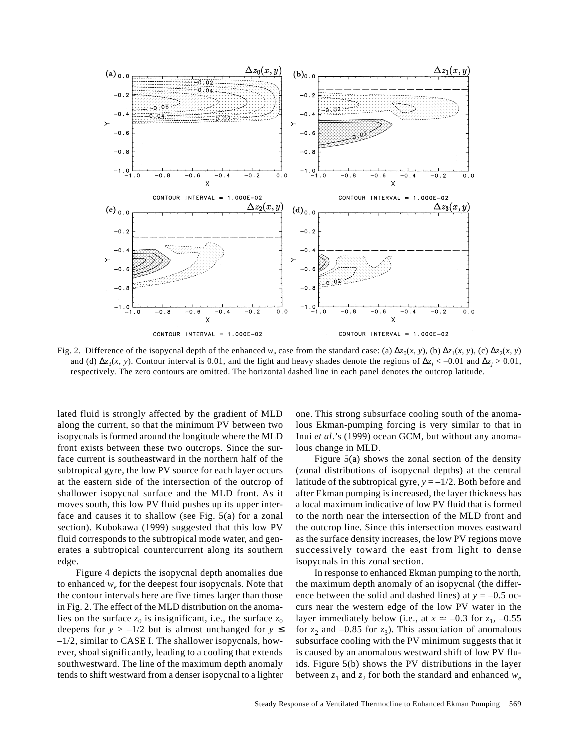

Fig. 2. Difference of the isopycnal depth of the enhanced  $w_e$  case from the standard case: (a)  $\Delta z_0(x, y)$ , (b)  $\Delta z_1(x, y)$ , (c)  $\Delta z_2(x, y)$ and (d)  $\Delta z_3(x, y)$ . Contour interval is 0.01, and the light and heavy shades denote the regions of  $\Delta z_j$  < –0.01 and  $\Delta z_j$  > 0.01, respectively. The zero contours are omitted. The horizontal dashed line in each panel denotes the outcrop latitude.

lated fluid is strongly affected by the gradient of MLD along the current, so that the minimum PV between two isopycnals is formed around the longitude where the MLD front exists between these two outcrops. Since the surface current is southeastward in the northern half of the subtropical gyre, the low PV source for each layer occurs at the eastern side of the intersection of the outcrop of shallower isopycnal surface and the MLD front. As it moves south, this low PV fluid pushes up its upper interface and causes it to shallow (see Fig. 5(a) for a zonal section). Kubokawa (1999) suggested that this low PV fluid corresponds to the subtropical mode water, and generates a subtropical countercurrent along its southern edge.

Figure 4 depicts the isopycnal depth anomalies due to enhanced  $w_e$  for the deepest four isopycnals. Note that the contour intervals here are five times larger than those in Fig. 2. The effect of the MLD distribution on the anomalies on the surface  $z_0$  is insignificant, i.e., the surface  $z_0$ deepens for  $y > -1/2$  but is almost unchanged for  $y \le$ –1/2, similar to CASE I. The shallower isopycnals, however, shoal significantly, leading to a cooling that extends southwestward. The line of the maximum depth anomaly tends to shift westward from a denser isopycnal to a lighter

one. This strong subsurface cooling south of the anomalous Ekman-pumping forcing is very similar to that in Inui *et al*.'s (1999) ocean GCM, but without any anomalous change in MLD.

Figure 5(a) shows the zonal section of the density (zonal distributions of isopycnal depths) at the central latitude of the subtropical gyre,  $y = -1/2$ . Both before and after Ekman pumping is increased, the layer thickness has a local maximum indicative of low PV fluid that is formed to the north near the intersection of the MLD front and the outcrop line. Since this intersection moves eastward as the surface density increases, the low PV regions move successively toward the east from light to dense isopycnals in this zonal section.

In response to enhanced Ekman pumping to the north, the maximum depth anomaly of an isopycnal (the difference between the solid and dashed lines) at  $y = -0.5$  occurs near the western edge of the low PV water in the layer immediately below (i.e., at  $x \approx -0.3$  for  $z_1$ ,  $-0.55$ for  $z_2$  and  $-0.85$  for  $z_3$ ). This association of anomalous subsurface cooling with the PV minimum suggests that it is caused by an anomalous westward shift of low PV fluids. Figure 5(b) shows the PV distributions in the layer between  $z_1$  and  $z_2$  for both the standard and enhanced  $w_e$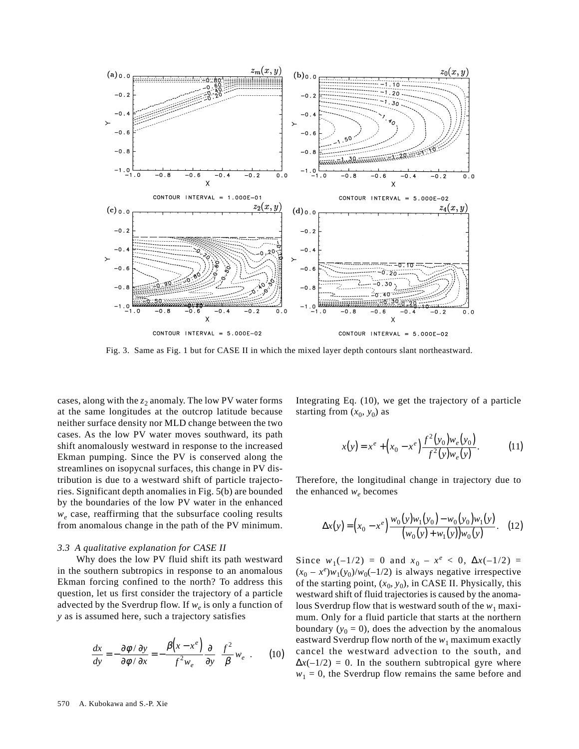

Fig. 3. Same as Fig. 1 but for CASE II in which the mixed layer depth contours slant northeastward.

cases, along with the  $z_2$  anomaly. The low PV water forms at the same longitudes at the outcrop latitude because neither surface density nor MLD change between the two cases. As the low PV water moves southward, its path shift anomalously westward in response to the increased Ekman pumping. Since the PV is conserved along the streamlines on isopycnal surfaces, this change in PV distribution is due to a westward shift of particle trajectories. Significant depth anomalies in Fig. 5(b) are bounded by the boundaries of the low PV water in the enhanced *we* case, reaffirming that the subsurface cooling results from anomalous change in the path of the PV minimum.

#### *3.3 A qualitative explanation for CASE II*

Why does the low PV fluid shift its path westward in the southern subtropics in response to an anomalous Ekman forcing confined to the north? To address this question, let us first consider the trajectory of a particle advected by the Sverdrup flow. If  $w_e$  is only a function of *y* as is assumed here, such a trajectory satisfies

$$
\frac{dx}{dy} = -\frac{\partial \phi / \partial y}{\partial \phi / \partial x} = -\frac{\beta (x - x^e)}{f^2 w_e} \frac{\partial}{\partial y} \left( \frac{f^2}{\beta} w_e \right). \tag{10}
$$

Integrating Eq. (10), we get the trajectory of a particle starting from  $(x_0, y_0)$  as

$$
x(y) = x^{e} + (x_{0} - x^{e}) \frac{f^{2}(y_{0})w_{e}(y_{0})}{f^{2}(y)w_{e}(y)}.
$$
 (11)

Therefore, the longitudinal change in trajectory due to the enhanced  $w_e$  becomes

$$
\Delta x(y) = (x_0 - x^e) \frac{w_0(y)w_1(y_0) - w_0(y_0)w_1(y)}{(w_0(y) + w_1(y))w_0(y)}.
$$
 (12)

Since  $w_1(-1/2) = 0$  and  $x_0 - x^e < 0$ ,  $\Delta x(-1/2) = 0$  $(x_0 - x^e)w_1(y_0)/w_0(-1/2)$  is always negative irrespective of the starting point,  $(x_0, y_0)$ , in CASE II. Physically, this westward shift of fluid trajectories is caused by the anomalous Sverdrup flow that is westward south of the  $w_1$  maximum. Only for a fluid particle that starts at the northern boundary  $(y_0 = 0)$ , does the advection by the anomalous eastward Sverdrup flow north of the  $w_1$  maximum exactly cancel the westward advection to the south, and  $\Delta x(-1/2) = 0$ . In the southern subtropical gyre where  $w_1 = 0$ , the Sverdrup flow remains the same before and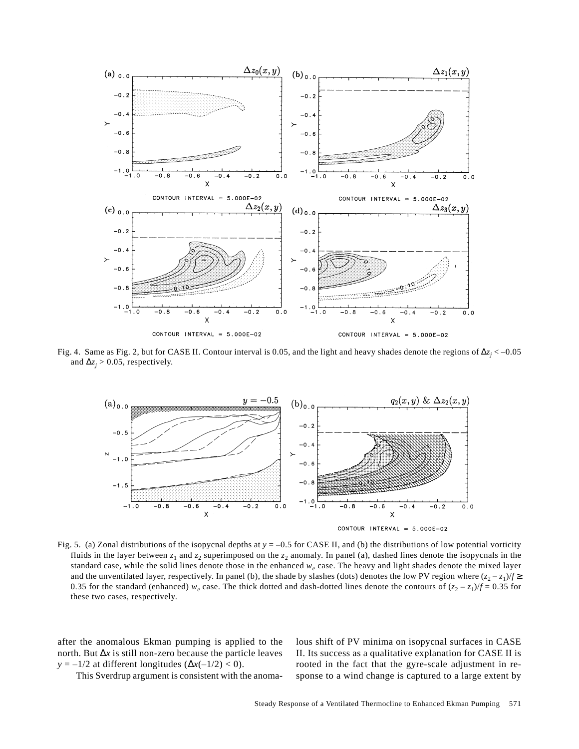

Fig. 4. Same as Fig. 2, but for CASE II. Contour interval is 0.05, and the light and heavy shades denote the regions of ∆*zj* < –0.05 and  $\Delta z_j$  > 0.05, respectively.



Fig. 5. (a) Zonal distributions of the isopycnal depths at *y* = –0.5 for CASE II, and (b) the distributions of low potential vorticity fluids in the layer between  $z_1$  and  $z_2$  superimposed on the  $z_2$  anomaly. In panel (a), dashed lines denote the isopycnals in the standard case, while the solid lines denote those in the enhanced  $w_e$  case. The heavy and light shades denote the mixed layer and the unventilated layer, respectively. In panel (b), the shade by slashes (dots) denotes the low PV region where  $(z_2 - z_1)/f \geq$ 0.35 for the standard (enhanced)  $w_e$  case. The thick dotted and dash-dotted lines denote the contours of  $(z_2 - z_1)/f = 0.35$  for these two cases, respectively.

after the anomalous Ekman pumping is applied to the north. But ∆*x* is still non-zero because the particle leaves *y* =  $-1/2$  at different longitudes ( $\Delta x(-1/2) < 0$ ).

lous shift of PV minima on isopycnal surfaces in CASE II. Its success as a qualitative explanation for CASE II is rooted in the fact that the gyre-scale adjustment in response to a wind change is captured to a large extent by

This Sverdrup argument is consistent with the anoma-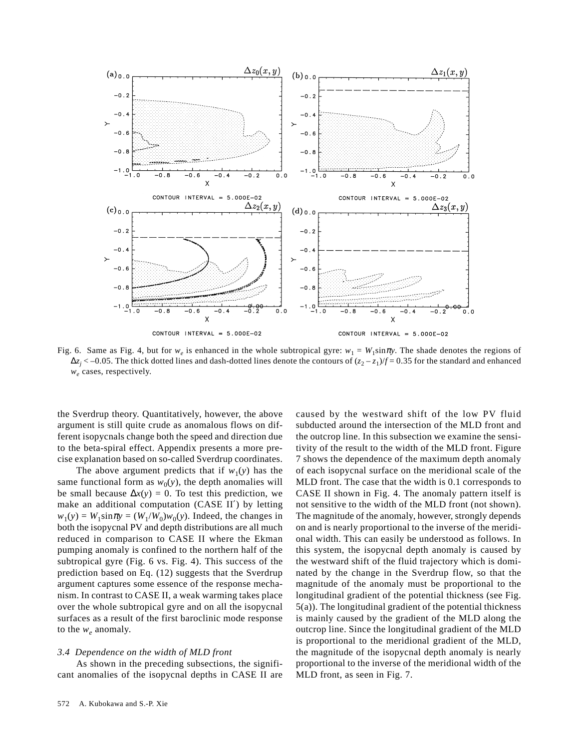

Fig. 6. Same as Fig. 4, but for  $w_e$  is enhanced in the whole subtropical gyre:  $w_1 = W_1 \sin \pi y$ . The shade denotes the regions of  $\Delta z_j$  < −0.05. The thick dotted lines and dash-dotted lines denote the contours of ( $z_2 - z_1$ )/*f* = 0.35 for the standard and enhanced *we* cases, respectively.

the Sverdrup theory. Quantitatively, however, the above argument is still quite crude as anomalous flows on different isopycnals change both the speed and direction due to the beta-spiral effect. Appendix presents a more precise explanation based on so-called Sverdrup coordinates.

The above argument predicts that if  $w_1(y)$  has the same functional form as  $w_0(y)$ , the depth anomalies will be small because  $\Delta x(y) = 0$ . To test this prediction, we make an additional computation (CASE II′) by letting  $w_1(y) = W_1 \sin \pi y = (W_1/W_0)w_0(y)$ . Indeed, the changes in both the isopycnal PV and depth distributions are all much reduced in comparison to CASE II where the Ekman pumping anomaly is confined to the northern half of the subtropical gyre (Fig. 6 vs. Fig. 4). This success of the prediction based on Eq. (12) suggests that the Sverdrup argument captures some essence of the response mechanism. In contrast to CASE II, a weak warming takes place over the whole subtropical gyre and on all the isopycnal surfaces as a result of the first baroclinic mode response to the  $w_e$  anomaly.

#### *3.4 Dependence on the width of MLD front*

As shown in the preceding subsections, the significant anomalies of the isopycnal depths in CASE II are caused by the westward shift of the low PV fluid subducted around the intersection of the MLD front and the outcrop line. In this subsection we examine the sensitivity of the result to the width of the MLD front. Figure 7 shows the dependence of the maximum depth anomaly of each isopycnal surface on the meridional scale of the MLD front. The case that the width is 0.1 corresponds to CASE II shown in Fig. 4. The anomaly pattern itself is not sensitive to the width of the MLD front (not shown). The magnitude of the anomaly, however, strongly depends on and is nearly proportional to the inverse of the meridional width. This can easily be understood as follows. In this system, the isopycnal depth anomaly is caused by the westward shift of the fluid trajectory which is dominated by the change in the Sverdrup flow, so that the magnitude of the anomaly must be proportional to the longitudinal gradient of the potential thickness (see Fig. 5(a)). The longitudinal gradient of the potential thickness is mainly caused by the gradient of the MLD along the outcrop line. Since the longitudinal gradient of the MLD is proportional to the meridional gradient of the MLD, the magnitude of the isopycnal depth anomaly is nearly proportional to the inverse of the meridional width of the MLD front, as seen in Fig. 7.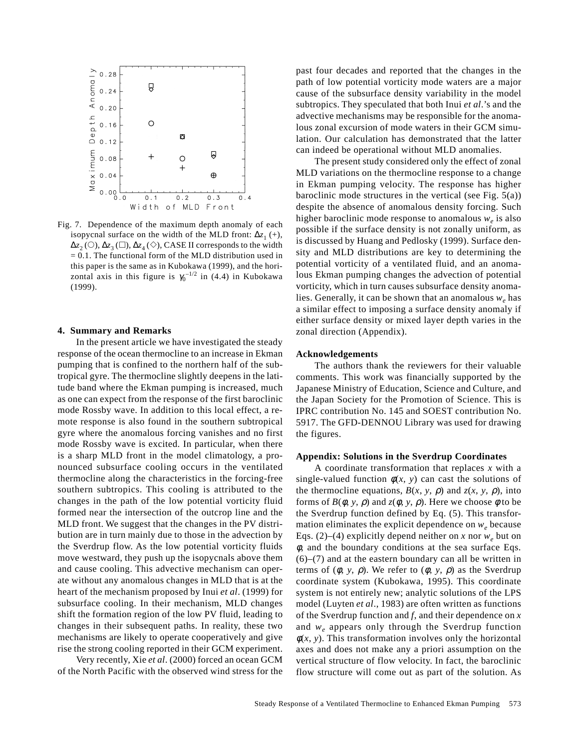

Fig. 7. Dependence of the maximum depth anomaly of each isopycnal surface on the width of the MLD front:  $\Delta z_1$  (+),  $\Delta z_2$  (○),  $\Delta z_3$  (□),  $\Delta z_4$  (◇), CASE II corresponds to the width  $= 0.1$ . The functional form of the MLD distribution used in this paper is the same as in Kubokawa (1999), and the horizontal axis in this figure is  $\gamma_0^{-1/2}$  in (4.4) in Kubokawa (1999).

## **4. Summary and Remarks**

In the present article we have investigated the steady response of the ocean thermocline to an increase in Ekman pumping that is confined to the northern half of the subtropical gyre. The thermocline slightly deepens in the latitude band where the Ekman pumping is increased, much as one can expect from the response of the first baroclinic mode Rossby wave. In addition to this local effect, a remote response is also found in the southern subtropical gyre where the anomalous forcing vanishes and no first mode Rossby wave is excited. In particular, when there is a sharp MLD front in the model climatology, a pronounced subsurface cooling occurs in the ventilated thermocline along the characteristics in the forcing-free southern subtropics. This cooling is attributed to the changes in the path of the low potential vorticity fluid formed near the intersection of the outcrop line and the MLD front. We suggest that the changes in the PV distribution are in turn mainly due to those in the advection by the Sverdrup flow. As the low potential vorticity fluids move westward, they push up the isopycnals above them and cause cooling. This advective mechanism can operate without any anomalous changes in MLD that is at the heart of the mechanism proposed by Inui *et al*. (1999) for subsurface cooling. In their mechanism, MLD changes shift the formation region of the low PV fluid, leading to changes in their subsequent paths. In reality, these two mechanisms are likely to operate cooperatively and give rise the strong cooling reported in their GCM experiment.

Very recently, Xie *et al*. (2000) forced an ocean GCM of the North Pacific with the observed wind stress for the past four decades and reported that the changes in the path of low potential vorticity mode waters are a major cause of the subsurface density variability in the model subtropics. They speculated that both Inui *et al*.'s and the advective mechanisms may be responsible for the anomalous zonal excursion of mode waters in their GCM simulation. Our calculation has demonstrated that the latter can indeed be operational without MLD anomalies.

The present study considered only the effect of zonal MLD variations on the thermocline response to a change in Ekman pumping velocity. The response has higher baroclinic mode structures in the vertical (see Fig.  $5(a)$ ) despite the absence of anomalous density forcing. Such higher baroclinic mode response to anomalous  $w_e$  is also possible if the surface density is not zonally uniform, as is discussed by Huang and Pedlosky (1999). Surface density and MLD distributions are key to determining the potential vorticity of a ventilated fluid, and an anomalous Ekman pumping changes the advection of potential vorticity, which in turn causes subsurface density anomalies. Generally, it can be shown that an anomalous *we* has a similar effect to imposing a surface density anomaly if either surface density or mixed layer depth varies in the zonal direction (Appendix).

### **Acknowledgements**

The authors thank the reviewers for their valuable comments. This work was financially supported by the Japanese Ministry of Education, Science and Culture, and the Japan Society for the Promotion of Science. This is IPRC contribution No. 145 and SOEST contribution No. 5917. The GFD-DENNOU Library was used for drawing the figures.

## **Appendix: Solutions in the Sverdrup Coordinates**

A coordinate transformation that replaces *x* with a single-valued function  $\phi(x, y)$  can cast the solutions of the thermocline equations,  $B(x, y, \rho)$  and  $z(x, y, \rho)$ , into forms of  $B(\phi, y, \rho)$  and  $z(\phi, y, \rho)$ . Here we choose  $\phi$  to be the Sverdrup function defined by Eq. (5). This transformation eliminates the explicit dependence on  $w_e$  because Eqs. (2)–(4) explicitly depend neither on *x* nor  $w_e$  but on  $\phi$ , and the boundary conditions at the sea surface Eqs. (6)–(7) and at the eastern boundary can all be written in terms of  $(\phi, y, \rho)$ . We refer to  $(\phi, y, \rho)$  as the Sverdrup coordinate system (Kubokawa, 1995). This coordinate system is not entirely new; analytic solutions of the LPS model (Luyten *et al*., 1983) are often written as functions of the Sverdrup function and *f*, and their dependence on *x* and *we* appears only through the Sverdrup function  $\phi(x, y)$ . This transformation involves only the horizontal axes and does not make any a priori assumption on the vertical structure of flow velocity. In fact, the baroclinic flow structure will come out as part of the solution. As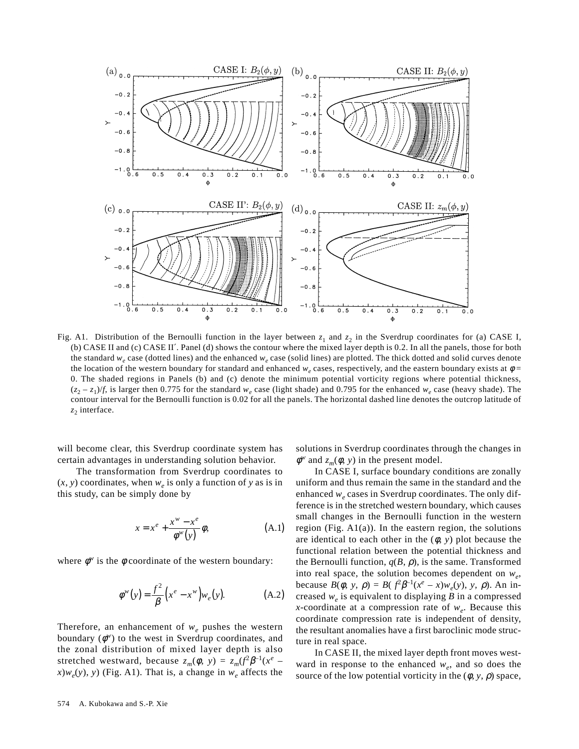

Fig. A1. Distribution of the Bernoulli function in the layer between  $z_1$  and  $z_2$  in the Sverdrup coordinates for (a) CASE I, (b) CASE II and (c) CASE II′. Panel (d) shows the contour where the mixed layer depth is 0.2. In all the panels, those for both the standard  $w_e$  case (dotted lines) and the enhanced  $w_e$  case (solid lines) are plotted. The thick dotted and solid curves denote the location of the western boundary for standard and enhanced  $w_e$  cases, respectively, and the eastern boundary exists at  $\phi$  = 0. The shaded regions in Panels (b) and (c) denote the minimum potential vorticity regions where potential thickness,  $(z_2 - z_1)/f$ , is larger then 0.775 for the standard  $w_e$  case (light shade) and 0.795 for the enhanced  $w_e$  case (heavy shade). The contour interval for the Bernoulli function is 0.02 for all the panels. The horizontal dashed line denotes the outcrop latitude of  $z_2$  interface.

will become clear, this Sverdrup coordinate system has certain advantages in understanding solution behavior.

The transformation from Sverdrup coordinates to  $(x, y)$  coordinates, when  $w_e$  is only a function of y as is in this study, can be simply done by

$$
x = xe + \frac{xw - xe}{\phiw(y)} \phi,
$$
 (A.1)

where  $\phi^w$  is the  $\phi$  coordinate of the western boundary:

$$
\phi^{w}(y) = \frac{f^{2}}{\beta} (x^{e} - x^{w}) w_{e}(y).
$$
 (A.2)

Therefore, an enhancement of  $w_e$  pushes the western boundary  $(\phi^w)$  to the west in Sverdrup coordinates, and the zonal distribution of mixed layer depth is also stretched westward, because  $z_m(\phi, y) = z_m(f^2)\beta^{-1}(x^e$  $x)w_e(y)$ , *y*) (Fig. A1). That is, a change in  $w_e$  affects the solutions in Sverdrup coordinates through the changes in  $\phi^w$  and  $z_m(\phi, y)$  in the present model.

In CASE I, surface boundary conditions are zonally uniform and thus remain the same in the standard and the enhanced  $w_e$  cases in Sverdrup coordinates. The only difference is in the stretched western boundary, which causes small changes in the Bernoulli function in the western region (Fig.  $A1(a)$ ). In the eastern region, the solutions are identical to each other in the  $(\phi, y)$  plot because the functional relation between the potential thickness and the Bernoulli function,  $q(B, \rho)$ , is the same. Transformed into real space, the solution becomes dependent on  $w_a$ , because  $B(\phi, y, \rho) = B(\int^2 \beta^{-1}(x^e - x) w_e(y), y, \rho)$ . An increased  $w_e$  is equivalent to displaying  $B$  in a compressed *x*-coordinate at a compression rate of  $w_e$ . Because this coordinate compression rate is independent of density, the resultant anomalies have a first baroclinic mode structure in real space.

In CASE II, the mixed layer depth front moves westward in response to the enhanced  $w_e$ , and so does the source of the low potential vorticity in the  $(\phi, y, \rho)$  space,